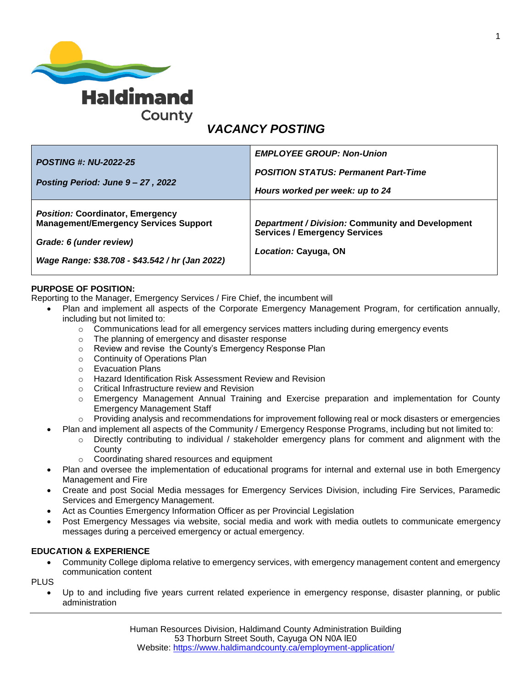

# *VACANCY POSTING*

| <b>POSTING #: NU-2022-25</b><br>Posting Period: June 9 - 27, 2022                                                                                                     | <b>EMPLOYEE GROUP: Non-Union</b><br><b>POSITION STATUS: Permanent Part-Time</b><br>Hours worked per week: up to 24 |
|-----------------------------------------------------------------------------------------------------------------------------------------------------------------------|--------------------------------------------------------------------------------------------------------------------|
| <b>Position: Coordinator, Emergency</b><br><b>Management/Emergency Services Support</b><br>Grade: 6 (under review)<br>Wage Range: \$38.708 - \$43.542 / hr (Jan 2022) | Department / Division: Community and Development<br><b>Services / Emergency Services</b><br>Location: Cayuga, ON   |

### **PURPOSE OF POSITION:**

Reporting to the Manager, Emergency Services / Fire Chief, the incumbent will

- Plan and implement all aspects of the Corporate Emergency Management Program, for certification annually, including but not limited to:
	- o Communications lead for all emergency services matters including during emergency events
	- o The planning of emergency and disaster response
	- o Review and revise the County's Emergency Response Plan
	- o Continuity of Operations Plan
	- o Evacuation Plans
	- o Hazard Identification Risk Assessment Review and Revision
	- o Critical Infrastructure review and Revision
	- o Emergency Management Annual Training and Exercise preparation and implementation for County Emergency Management Staff
	- $\circ$  Providing analysis and recommendations for improvement following real or mock disasters or emergencies
- Plan and implement all aspects of the Community / Emergency Response Programs, including but not limited to:
	- o Directly contributing to individual / stakeholder emergency plans for comment and alignment with the **County**
	- o Coordinating shared resources and equipment
- Plan and oversee the implementation of educational programs for internal and external use in both Emergency Management and Fire
- Create and post Social Media messages for Emergency Services Division, including Fire Services, Paramedic Services and Emergency Management.
- Act as Counties Emergency Information Officer as per Provincial Legislation
- Post Emergency Messages via website, social media and work with media outlets to communicate emergency messages during a perceived emergency or actual emergency.

#### **EDUCATION & EXPERIENCE**

 Community College diploma relative to emergency services, with emergency management content and emergency communication content

PLUS

 Up to and including five years current related experience in emergency response, disaster planning, or public administration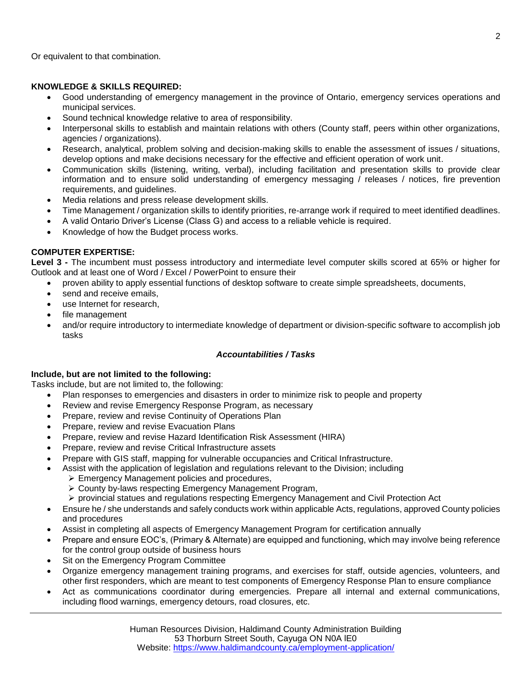Or equivalent to that combination.

### **KNOWLEDGE & SKILLS REQUIRED:**

- Good understanding of emergency management in the province of Ontario, emergency services operations and municipal services.
- Sound technical knowledge relative to area of responsibility.
- Interpersonal skills to establish and maintain relations with others (County staff, peers within other organizations, agencies / organizations).
- Research, analytical, problem solving and decision-making skills to enable the assessment of issues / situations, develop options and make decisions necessary for the effective and efficient operation of work unit.
- Communication skills (listening, writing, verbal), including facilitation and presentation skills to provide clear information and to ensure solid understanding of emergency messaging / releases / notices, fire prevention requirements, and guidelines.
- Media relations and press release development skills.
- Time Management / organization skills to identify priorities, re-arrange work if required to meet identified deadlines.
- A valid Ontario Driver's License (Class G) and access to a reliable vehicle is required.
- Knowledge of how the Budget process works.

#### **COMPUTER EXPERTISE:**

**Level 3 -** The incumbent must possess introductory and intermediate level computer skills scored at 65% or higher for Outlook and at least one of Word / Excel / PowerPoint to ensure their

- proven ability to apply essential functions of desktop software to create simple spreadsheets, documents,
- send and receive emails,
- use Internet for research,
- file management
- and/or require introductory to intermediate knowledge of department or division-specific software to accomplish job tasks

#### *Accountabilities / Tasks*

#### **Include, but are not limited to the following:**

Tasks include, but are not limited to, the following:

- Plan responses to emergencies and disasters in order to minimize risk to people and property
- Review and revise Emergency Response Program, as necessary
- Prepare, review and revise Continuity of Operations Plan
- Prepare, review and revise Evacuation Plans
- Prepare, review and revise Hazard Identification Risk Assessment (HIRA)
- Prepare, review and revise Critical Infrastructure assets
- Prepare with GIS staff, mapping for vulnerable occupancies and Critical Infrastructure.
- Assist with the application of legislation and regulations relevant to the Division; including
	- Emergency Management policies and procedures,
		- County by-laws respecting Emergency Management Program,
	- $\triangleright$  provincial statues and regulations respecting Emergency Management and Civil Protection Act
- Ensure he / she understands and safely conducts work within applicable Acts, regulations, approved County policies and procedures
- Assist in completing all aspects of Emergency Management Program for certification annually
- Prepare and ensure EOC's, (Primary & Alternate) are equipped and functioning, which may involve being reference for the control group outside of business hours
- Sit on the Emergency Program Committee
- Organize emergency management training programs, and exercises for staff, outside agencies, volunteers, and other first responders, which are meant to test components of Emergency Response Plan to ensure compliance
- Act as communications coordinator during emergencies. Prepare all internal and external communications, including flood warnings, emergency detours, road closures, etc.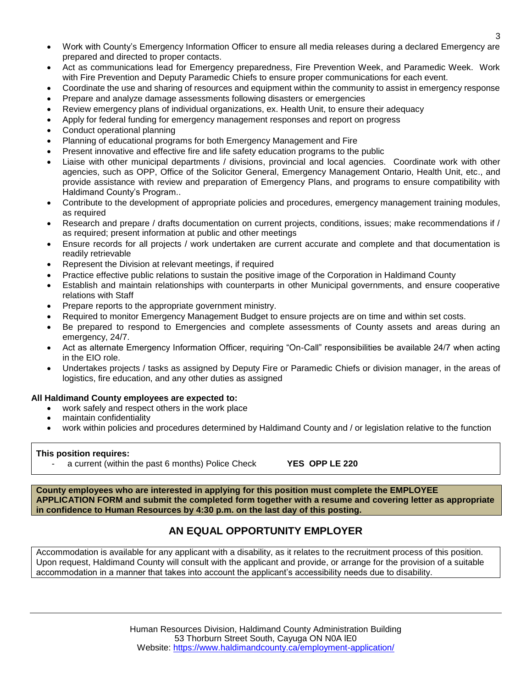- Work with County's Emergency Information Officer to ensure all media releases during a declared Emergency are prepared and directed to proper contacts.
- Act as communications lead for Emergency preparedness, Fire Prevention Week, and Paramedic Week. Work with Fire Prevention and Deputy Paramedic Chiefs to ensure proper communications for each event.
- Coordinate the use and sharing of resources and equipment within the community to assist in emergency response
- Prepare and analyze damage assessments following disasters or emergencies
- Review emergency plans of individual organizations, ex. Health Unit, to ensure their adequacy
- Apply for federal funding for emergency management responses and report on progress
- Conduct operational planning
- Planning of educational programs for both Emergency Management and Fire
- Present innovative and effective fire and life safety education programs to the public
- Liaise with other municipal departments / divisions, provincial and local agencies. Coordinate work with other agencies, such as OPP, Office of the Solicitor General, Emergency Management Ontario, Health Unit, etc., and provide assistance with review and preparation of Emergency Plans, and programs to ensure compatibility with Haldimand County's Program..
- Contribute to the development of appropriate policies and procedures, emergency management training modules, as required
- Research and prepare / drafts documentation on current projects, conditions, issues; make recommendations if / as required; present information at public and other meetings
- Ensure records for all projects / work undertaken are current accurate and complete and that documentation is readily retrievable
- Represent the Division at relevant meetings, if required
- Practice effective public relations to sustain the positive image of the Corporation in Haldimand County
- Establish and maintain relationships with counterparts in other Municipal governments, and ensure cooperative relations with Staff
- Prepare reports to the appropriate government ministry.
- Required to monitor Emergency Management Budget to ensure projects are on time and within set costs.
- Be prepared to respond to Emergencies and complete assessments of County assets and areas during an emergency, 24/7.
- Act as alternate Emergency Information Officer, requiring "On-Call" responsibilities be available 24/7 when acting in the EIO role.
- Undertakes projects / tasks as assigned by Deputy Fire or Paramedic Chiefs or division manager, in the areas of logistics, fire education, and any other duties as assigned

## **All Haldimand County employees are expected to:**

- work safely and respect others in the work place
- maintain confidentiality
- work within policies and procedures determined by Haldimand County and / or legislation relative to the function

## **This position requires:**

- a current (within the past 6 months) Police Check **YES OPP LE 220**

**County employees who are interested in applying for this position must complete the EMPLOYEE APPLICATION FORM and submit the completed form together with a resume and covering letter as appropriate in confidence to Human Resources by 4:30 p.m. on the last day of this posting.**

# **AN EQUAL OPPORTUNITY EMPLOYER**

Accommodation is available for any applicant with a disability, as it relates to the recruitment process of this position. Upon request, Haldimand County will consult with the applicant and provide, or arrange for the provision of a suitable accommodation in a manner that takes into account the applicant's accessibility needs due to disability.